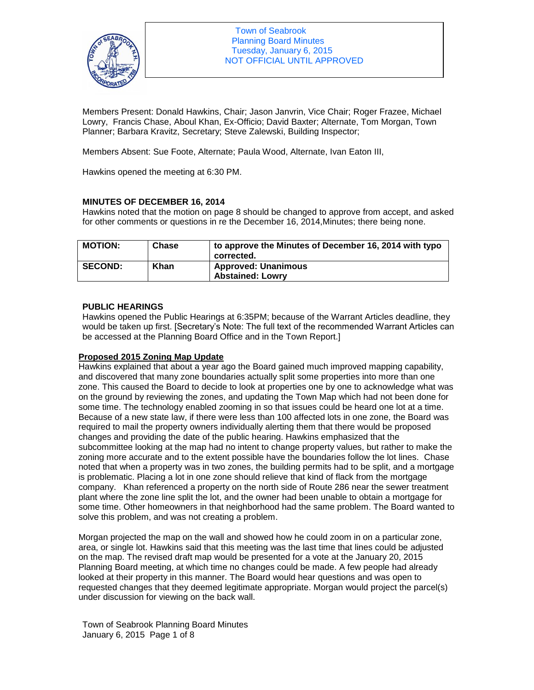

Members Present: Donald Hawkins, Chair; Jason Janvrin, Vice Chair; Roger Frazee, Michael Lowry, Francis Chase, Aboul Khan, Ex-Officio; David Baxter; Alternate, Tom Morgan, Town Planner; Barbara Kravitz, Secretary; Steve Zalewski, Building Inspector;

Members Absent: Sue Foote, Alternate; Paula Wood, Alternate, Ivan Eaton III,

Hawkins opened the meeting at 6:30 PM.

## **MINUTES OF DECEMBER 16, 2014**

Hawkins noted that the motion on page 8 should be changed to approve from accept, and asked for other comments or questions in re the December 16, 2014,Minutes; there being none.

| <b>MOTION:</b> | Chase | to approve the Minutes of December 16, 2014 with typo<br>corrected. |
|----------------|-------|---------------------------------------------------------------------|
| <b>SECOND:</b> | Khan  | <b>Approved: Unanimous</b><br><b>Abstained: Lowrv</b>               |

## **PUBLIC HEARINGS**

Hawkins opened the Public Hearings at 6:35PM; because of the Warrant Articles deadline, they would be taken up first. [Secretary's Note: The full text of the recommended Warrant Articles can be accessed at the Planning Board Office and in the Town Report.]

# **Proposed 2015 Zoning Map Update**

Hawkins explained that about a year ago the Board gained much improved mapping capability, and discovered that many zone boundaries actually split some properties into more than one zone. This caused the Board to decide to look at properties one by one to acknowledge what was on the ground by reviewing the zones, and updating the Town Map which had not been done for some time. The technology enabled zooming in so that issues could be heard one lot at a time. Because of a new state law, if there were less than 100 affected lots in one zone, the Board was required to mail the property owners individually alerting them that there would be proposed changes and providing the date of the public hearing. Hawkins emphasized that the subcommittee looking at the map had no intent to change property values, but rather to make the zoning more accurate and to the extent possible have the boundaries follow the lot lines. Chase noted that when a property was in two zones, the building permits had to be split, and a mortgage is problematic. Placing a lot in one zone should relieve that kind of flack from the mortgage company. Khan referenced a property on the north side of Route 286 near the sewer treatment plant where the zone line split the lot, and the owner had been unable to obtain a mortgage for some time. Other homeowners in that neighborhood had the same problem. The Board wanted to solve this problem, and was not creating a problem.

Morgan projected the map on the wall and showed how he could zoom in on a particular zone, area, or single lot. Hawkins said that this meeting was the last time that lines could be adjusted on the map. The revised draft map would be presented for a vote at the January 20, 2015 Planning Board meeting, at which time no changes could be made. A few people had already looked at their property in this manner. The Board would hear questions and was open to requested changes that they deemed legitimate appropriate. Morgan would project the parcel(s) under discussion for viewing on the back wall.

Town of Seabrook Planning Board Minutes January 6, 2015 Page 1 of 8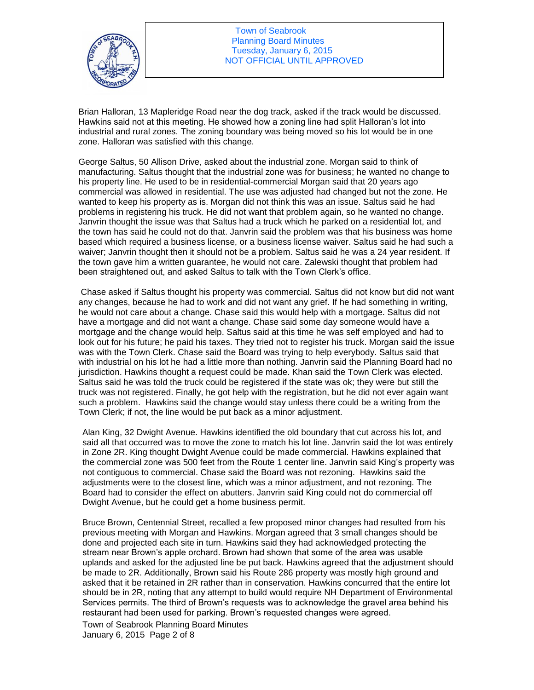

Town of Seabrook Planning Board Minutes Tuesday, January 6, 2015 NOT OFFICIAL UNTIL APPROVED

Brian Halloran, 13 Mapleridge Road near the dog track, asked if the track would be discussed. Hawkins said not at this meeting. He showed how a zoning line had split Halloran's lot into industrial and rural zones. The zoning boundary was being moved so his lot would be in one zone. Halloran was satisfied with this change.

George Saltus, 50 Allison Drive, asked about the industrial zone. Morgan said to think of manufacturing. Saltus thought that the industrial zone was for business; he wanted no change to his property line. He used to be in residential-commercial Morgan said that 20 years ago commercial was allowed in residential. The use was adjusted had changed but not the zone. He wanted to keep his property as is. Morgan did not think this was an issue. Saltus said he had problems in registering his truck. He did not want that problem again, so he wanted no change. Janvrin thought the issue was that Saltus had a truck which he parked on a residential lot, and the town has said he could not do that. Janvrin said the problem was that his business was home based which required a business license, or a business license waiver. Saltus said he had such a waiver; Janvrin thought then it should not be a problem. Saltus said he was a 24 year resident. If the town gave him a written guarantee, he would not care. Zalewski thought that problem had been straightened out, and asked Saltus to talk with the Town Clerk's office.

Chase asked if Saltus thought his property was commercial. Saltus did not know but did not want any changes, because he had to work and did not want any grief. If he had something in writing, he would not care about a change. Chase said this would help with a mortgage. Saltus did not have a mortgage and did not want a change. Chase said some day someone would have a mortgage and the change would help. Saltus said at this time he was self employed and had to look out for his future; he paid his taxes. They tried not to register his truck. Morgan said the issue was with the Town Clerk. Chase said the Board was trying to help everybody. Saltus said that with industrial on his lot he had a little more than nothing. Janvrin said the Planning Board had no jurisdiction. Hawkins thought a request could be made. Khan said the Town Clerk was elected. Saltus said he was told the truck could be registered if the state was ok; they were but still the truck was not registered. Finally, he got help with the registration, but he did not ever again want such a problem. Hawkins said the change would stay unless there could be a writing from the Town Clerk; if not, the line would be put back as a minor adjustment.

Alan King, 32 Dwight Avenue. Hawkins identified the old boundary that cut across his lot, and said all that occurred was to move the zone to match his lot line. Janvrin said the lot was entirely in Zone 2R. King thought Dwight Avenue could be made commercial. Hawkins explained that the commercial zone was 500 feet from the Route 1 center line. Janvrin said King's property was not contiguous to commercial. Chase said the Board was not rezoning. Hawkins said the adjustments were to the closest line, which was a minor adjustment, and not rezoning. The Board had to consider the effect on abutters. Janvrin said King could not do commercial off Dwight Avenue, but he could get a home business permit.

Bruce Brown, Centennial Street, recalled a few proposed minor changes had resulted from his previous meeting with Morgan and Hawkins. Morgan agreed that 3 small changes should be done and projected each site in turn. Hawkins said they had acknowledged protecting the stream near Brown's apple orchard. Brown had shown that some of the area was usable uplands and asked for the adjusted line be put back. Hawkins agreed that the adjustment should be made to 2R. Additionally, Brown said his Route 286 property was mostly high ground and asked that it be retained in 2R rather than in conservation. Hawkins concurred that the entire lot should be in 2R, noting that any attempt to build would require NH Department of Environmental Services permits. The third of Brown's requests was to acknowledge the gravel area behind his restaurant had been used for parking. Brown's requested changes were agreed.

Town of Seabrook Planning Board Minutes January 6, 2015 Page 2 of 8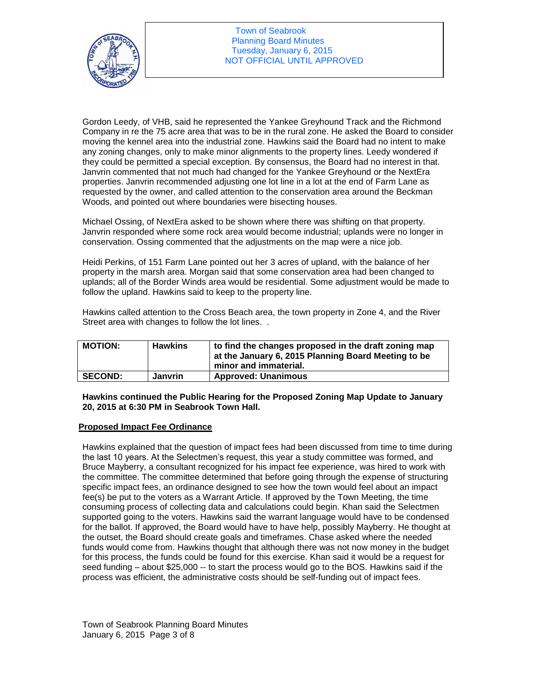

Gordon Leedy, of VHB, said he represented the Yankee Greyhound Track and the Richmond Company in re the 75 acre area that was to be in the rural zone. He asked the Board to consider moving the kennel area into the industrial zone. Hawkins said the Board had no intent to make any zoning changes, only to make minor alignments to the property lines. Leedy wondered if they could be permitted a special exception. By consensus, the Board had no interest in that. Janvrin commented that not much had changed for the Yankee Greyhound or the NextEra properties. Janvrin recommended adjusting one lot line in a lot at the end of Farm Lane as requested by the owner, and called attention to the conservation area around the Beckman Woods, and pointed out where boundaries were bisecting houses.

Michael Ossing, of NextEra asked to be shown where there was shifting on that property. Janvrin responded where some rock area would become industrial; uplands were no longer in conservation. Ossing commented that the adjustments on the map were a nice job.

Heidi Perkins, of 151 Farm Lane pointed out her 3 acres of upland, with the balance of her property in the marsh area. Morgan said that some conservation area had been changed to uplands; all of the Border Winds area would be residential. Some adjustment would be made to follow the upland. Hawkins said to keep to the property line.

Hawkins called attention to the Cross Beach area, the town property in Zone 4, and the River Street area with changes to follow the lot lines. .

| <b>MOTION:</b> | <b>Hawkins</b> | to find the changes proposed in the draft zoning map<br>at the January 6, 2015 Planning Board Meeting to be<br>minor and immaterial. |
|----------------|----------------|--------------------------------------------------------------------------------------------------------------------------------------|
| <b>SECOND:</b> | <b>Janvrin</b> | <b>Approved: Unanimous</b>                                                                                                           |

**Hawkins continued the Public Hearing for the Proposed Zoning Map Update to January 20, 2015 at 6:30 PM in Seabrook Town Hall.** 

#### **Proposed Impact Fee Ordinance**

Hawkins explained that the question of impact fees had been discussed from time to time during the last 10 years. At the Selectmen's request, this year a study committee was formed, and Bruce Mayberry, a consultant recognized for his impact fee experience, was hired to work with the committee. The committee determined that before going through the expense of structuring specific impact fees, an ordinance designed to see how the town would feel about an impact fee(s) be put to the voters as a Warrant Article. If approved by the Town Meeting, the time consuming process of collecting data and calculations could begin. Khan said the Selectmen supported going to the voters. Hawkins said the warrant language would have to be condensed for the ballot. If approved, the Board would have to have help, possibly Mayberry. He thought at the outset, the Board should create goals and timeframes. Chase asked where the needed funds would come from. Hawkins thought that although there was not now money in the budget for this process, the funds could be found for this exercise. Khan said it would be a request for seed funding – about \$25,000 -- to start the process would go to the BOS. Hawkins said if the process was efficient, the administrative costs should be self-funding out of impact fees.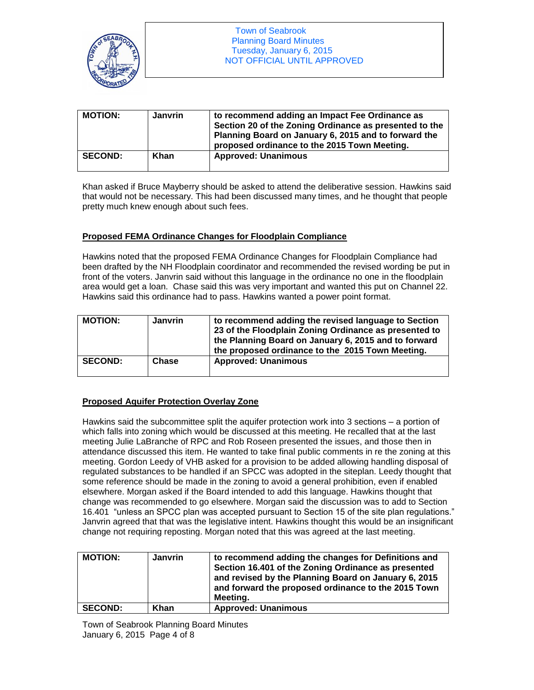

| <b>MOTION:</b> | Janvrin | to recommend adding an Impact Fee Ordinance as<br>Section 20 of the Zoning Ordinance as presented to the<br>Planning Board on January 6, 2015 and to forward the<br>proposed ordinance to the 2015 Town Meeting. |
|----------------|---------|------------------------------------------------------------------------------------------------------------------------------------------------------------------------------------------------------------------|
| <b>SECOND:</b> | Khan    | <b>Approved: Unanimous</b>                                                                                                                                                                                       |

Khan asked if Bruce Mayberry should be asked to attend the deliberative session. Hawkins said that would not be necessary. This had been discussed many times, and he thought that people pretty much knew enough about such fees.

## **Proposed FEMA Ordinance Changes for Floodplain Compliance**

Hawkins noted that the proposed FEMA Ordinance Changes for Floodplain Compliance had been drafted by the NH Floodplain coordinator and recommended the revised wording be put in front of the voters. Janvrin said without this language in the ordinance no one in the floodplain area would get a loan. Chase said this was very important and wanted this put on Channel 22. Hawkins said this ordinance had to pass. Hawkins wanted a power point format.

| <b>MOTION:</b> | Janvrin | to recommend adding the revised language to Section<br>23 of the Floodplain Zoning Ordinance as presented to<br>the Planning Board on January 6, 2015 and to forward<br>the proposed ordinance to the 2015 Town Meeting. |
|----------------|---------|--------------------------------------------------------------------------------------------------------------------------------------------------------------------------------------------------------------------------|
| <b>SECOND:</b> | Chase   | <b>Approved: Unanimous</b>                                                                                                                                                                                               |

# **Proposed Aquifer Protection Overlay Zone**

Hawkins said the subcommittee split the aquifer protection work into 3 sections – a portion of which falls into zoning which would be discussed at this meeting. He recalled that at the last meeting Julie LaBranche of RPC and Rob Roseen presented the issues, and those then in attendance discussed this item. He wanted to take final public comments in re the zoning at this meeting. Gordon Leedy of VHB asked for a provision to be added allowing handling disposal of regulated substances to be handled if an SPCC was adopted in the siteplan. Leedy thought that some reference should be made in the zoning to avoid a general prohibition, even if enabled elsewhere. Morgan asked if the Board intended to add this language. Hawkins thought that change was recommended to go elsewhere. Morgan said the discussion was to add to Section 16.401 "unless an SPCC plan was accepted pursuant to Section 15 of the site plan regulations." Janvrin agreed that that was the legislative intent. Hawkins thought this would be an insignificant change not requiring reposting. Morgan noted that this was agreed at the last meeting.

| <b>MOTION:</b> | <b>Janvrin</b> | to recommend adding the changes for Definitions and<br>Section 16.401 of the Zoning Ordinance as presented<br>and revised by the Planning Board on January 6, 2015<br>and forward the proposed ordinance to the 2015 Town<br>Meetina. |
|----------------|----------------|---------------------------------------------------------------------------------------------------------------------------------------------------------------------------------------------------------------------------------------|
| <b>SECOND:</b> | Khan           | <b>Approved: Unanimous</b>                                                                                                                                                                                                            |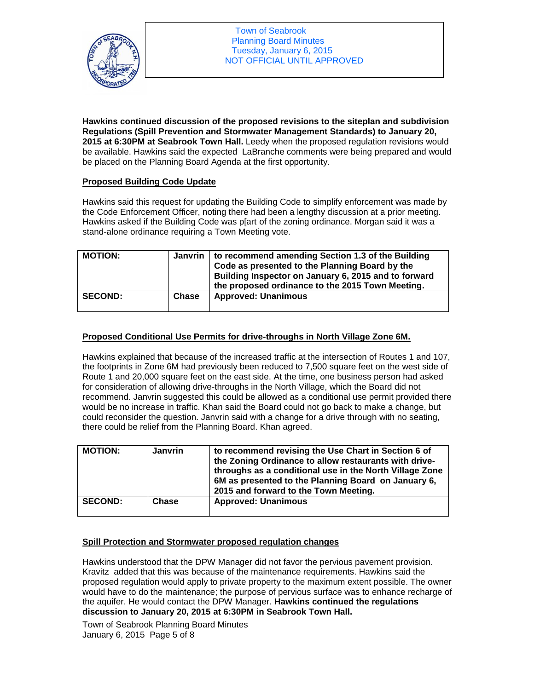

**Hawkins continued discussion of the proposed revisions to the siteplan and subdivision Regulations (Spill Prevention and Stormwater Management Standards) to January 20, 2015 at 6:30PM at Seabrook Town Hall.** Leedy when the proposed regulation revisions would be available. Hawkins said the expected LaBranche comments were being prepared and would be placed on the Planning Board Agenda at the first opportunity.

# **Proposed Building Code Update**

Hawkins said this request for updating the Building Code to simplify enforcement was made by the Code Enforcement Officer, noting there had been a lengthy discussion at a prior meeting. Hawkins asked if the Building Code was p[art of the zoning ordinance. Morgan said it was a stand-alone ordinance requiring a Town Meeting vote.

| <b>MOTION:</b> |              | Janvrin   to recommend amending Section 1.3 of the Building<br>Code as presented to the Planning Board by the<br>Building Inspector on January 6, 2015 and to forward<br>the proposed ordinance to the 2015 Town Meeting. |
|----------------|--------------|---------------------------------------------------------------------------------------------------------------------------------------------------------------------------------------------------------------------------|
| <b>SECOND:</b> | <b>Chase</b> | <b>Approved: Unanimous</b>                                                                                                                                                                                                |

## **Proposed Conditional Use Permits for drive-throughs in North Village Zone 6M.**

Hawkins explained that because of the increased traffic at the intersection of Routes 1 and 107, the footprints in Zone 6M had previously been reduced to 7,500 square feet on the west side of Route 1 and 20,000 square feet on the east side. At the time, one business person had asked for consideration of allowing drive-throughs in the North Village, which the Board did not recommend. Janvrin suggested this could be allowed as a conditional use permit provided there would be no increase in traffic. Khan said the Board could not go back to make a change, but could reconsider the question. Janvrin said with a change for a drive through with no seating, there could be relief from the Planning Board. Khan agreed.

| <b>MOTION:</b> | <b>Janvrin</b> | to recommend revising the Use Chart in Section 6 of<br>the Zoning Ordinance to allow restaurants with drive-<br>throughs as a conditional use in the North Village Zone<br>6M as presented to the Planning Board on January 6,<br>2015 and forward to the Town Meeting. |
|----------------|----------------|-------------------------------------------------------------------------------------------------------------------------------------------------------------------------------------------------------------------------------------------------------------------------|
| <b>SECOND:</b> | Chase          | <b>Approved: Unanimous</b>                                                                                                                                                                                                                                              |

# **Spill Protection and Stormwater proposed regulation changes**

Hawkins understood that the DPW Manager did not favor the pervious pavement provision. Kravitz added that this was because of the maintenance requirements. Hawkins said the proposed regulation would apply to private property to the maximum extent possible. The owner would have to do the maintenance; the purpose of pervious surface was to enhance recharge of the aquifer. He would contact the DPW Manager. **Hawkins continued the regulations discussion to January 20, 2015 at 6:30PM in Seabrook Town Hall.** 

Town of Seabrook Planning Board Minutes January 6, 2015 Page 5 of 8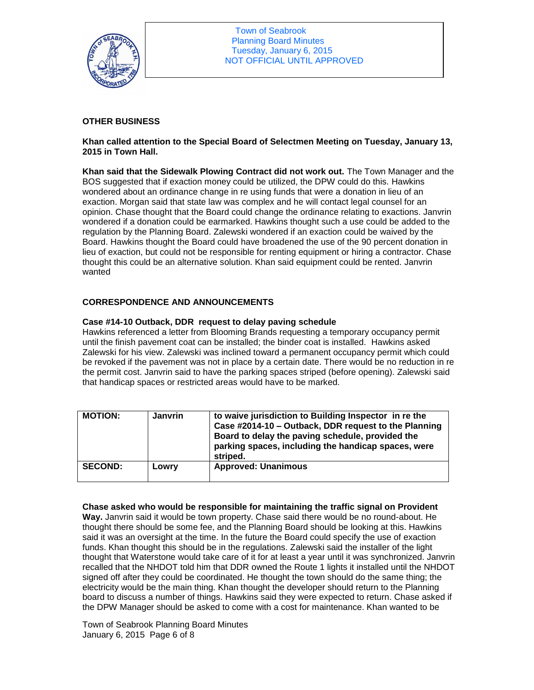

Town of Seabrook Planning Board Minutes Tuesday, January 6, 2015 NOT OFFICIAL UNTIL APPROVED

## **OTHER BUSINESS**

**Khan called attention to the Special Board of Selectmen Meeting on Tuesday, January 13, 2015 in Town Hall.** 

**Khan said that the Sidewalk Plowing Contract did not work out.** The Town Manager and the BOS suggested that if exaction money could be utilized, the DPW could do this. Hawkins wondered about an ordinance change in re using funds that were a donation in lieu of an exaction. Morgan said that state law was complex and he will contact legal counsel for an opinion. Chase thought that the Board could change the ordinance relating to exactions. Janvrin wondered if a donation could be earmarked. Hawkins thought such a use could be added to the regulation by the Planning Board. Zalewski wondered if an exaction could be waived by the Board. Hawkins thought the Board could have broadened the use of the 90 percent donation in lieu of exaction, but could not be responsible for renting equipment or hiring a contractor. Chase thought this could be an alternative solution. Khan said equipment could be rented. Janvrin wanted

## **CORRESPONDENCE AND ANNOUNCEMENTS**

#### **Case #14-10 Outback, DDR request to delay paving schedule**

Hawkins referenced a letter from Blooming Brands requesting a temporary occupancy permit until the finish pavement coat can be installed; the binder coat is installed. Hawkins asked Zalewski for his view. Zalewski was inclined toward a permanent occupancy permit which could be revoked if the pavement was not in place by a certain date. There would be no reduction in re the permit cost. Janvrin said to have the parking spaces striped (before opening). Zalewski said that handicap spaces or restricted areas would have to be marked.

| <b>MOTION:</b> | <b>Janvrin</b> | to waive jurisdiction to Building Inspector in re the<br>Case #2014-10 - Outback, DDR request to the Planning<br>Board to delay the paving schedule, provided the<br>parking spaces, including the handicap spaces, were<br>striped. |
|----------------|----------------|--------------------------------------------------------------------------------------------------------------------------------------------------------------------------------------------------------------------------------------|
| <b>SECOND:</b> | Lowry          | <b>Approved: Unanimous</b>                                                                                                                                                                                                           |

#### **Chase asked who would be responsible for maintaining the traffic signal on Provident**

**Way.** Janvrin said it would be town property. Chase said there would be no round-about. He thought there should be some fee, and the Planning Board should be looking at this. Hawkins said it was an oversight at the time. In the future the Board could specify the use of exaction funds. Khan thought this should be in the regulations. Zalewski said the installer of the light thought that Waterstone would take care of it for at least a year until it was synchronized. Janvrin recalled that the NHDOT told him that DDR owned the Route 1 lights it installed until the NHDOT signed off after they could be coordinated. He thought the town should do the same thing; the electricity would be the main thing. Khan thought the developer should return to the Planning board to discuss a number of things. Hawkins said they were expected to return. Chase asked if the DPW Manager should be asked to come with a cost for maintenance. Khan wanted to be

Town of Seabrook Planning Board Minutes January 6, 2015 Page 6 of 8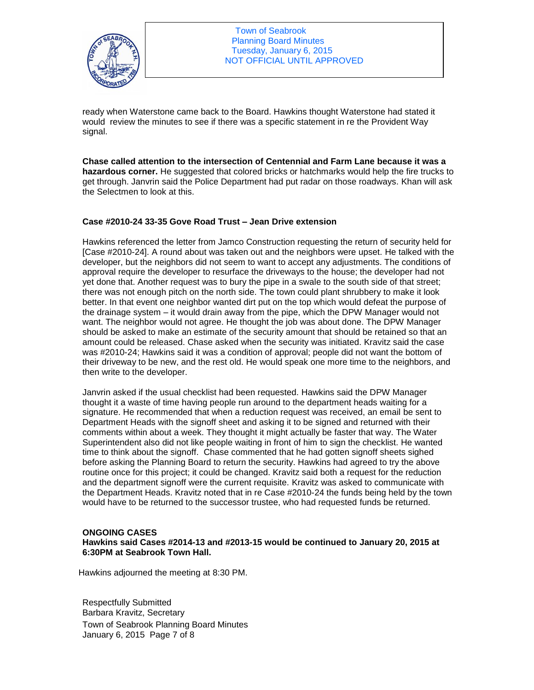

ready when Waterstone came back to the Board. Hawkins thought Waterstone had stated it would review the minutes to see if there was a specific statement in re the Provident Way signal.

**Chase called attention to the intersection of Centennial and Farm Lane because it was a hazardous corner.** He suggested that colored bricks or hatchmarks would help the fire trucks to get through. Janvrin said the Police Department had put radar on those roadways. Khan will ask the Selectmen to look at this.

## **Case #2010-24 33-35 Gove Road Trust – Jean Drive extension**

Hawkins referenced the letter from Jamco Construction requesting the return of security held for [Case #2010-24]. A round about was taken out and the neighbors were upset. He talked with the developer, but the neighbors did not seem to want to accept any adjustments. The conditions of approval require the developer to resurface the driveways to the house; the developer had not yet done that. Another request was to bury the pipe in a swale to the south side of that street; there was not enough pitch on the north side. The town could plant shrubbery to make it look better. In that event one neighbor wanted dirt put on the top which would defeat the purpose of the drainage system – it would drain away from the pipe, which the DPW Manager would not want. The neighbor would not agree. He thought the job was about done. The DPW Manager should be asked to make an estimate of the security amount that should be retained so that an amount could be released. Chase asked when the security was initiated. Kravitz said the case was #2010-24; Hawkins said it was a condition of approval; people did not want the bottom of their driveway to be new, and the rest old. He would speak one more time to the neighbors, and then write to the developer.

Janvrin asked if the usual checklist had been requested. Hawkins said the DPW Manager thought it a waste of time having people run around to the department heads waiting for a signature. He recommended that when a reduction request was received, an email be sent to Department Heads with the signoff sheet and asking it to be signed and returned with their comments within about a week. They thought it might actually be faster that way. The Water Superintendent also did not like people waiting in front of him to sign the checklist. He wanted time to think about the signoff. Chase commented that he had gotten signoff sheets sighed before asking the Planning Board to return the security. Hawkins had agreed to try the above routine once for this project; it could be changed. Kravitz said both a request for the reduction and the department signoff were the current requisite. Kravitz was asked to communicate with the Department Heads. Kravitz noted that in re Case #2010-24 the funds being held by the town would have to be returned to the successor trustee, who had requested funds be returned.

#### **ONGOING CASES**

**Hawkins said Cases #2014-13 and #2013-15 would be continued to January 20, 2015 at 6:30PM at Seabrook Town Hall.** 

Hawkins adjourned the meeting at 8:30 PM.

Town of Seabrook Planning Board Minutes January 6, 2015 Page 7 of 8 Respectfully Submitted Barbara Kravitz, Secretary